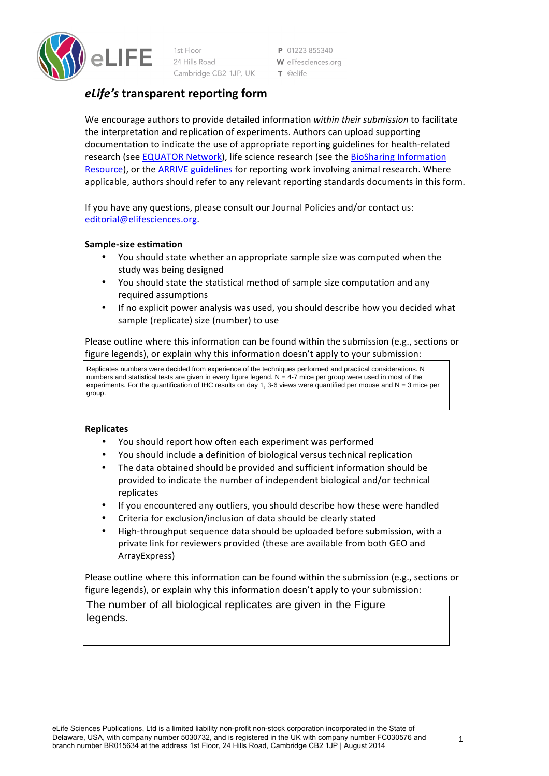

 $1st$  Floor 24 Hills Road Cambridge CB2 1JP, UK

P 01223855340 W elifesciences.org  $T$  @elife

# *eLife's* **transparent reporting form**

We encourage authors to provide detailed information *within their submission* to facilitate the interpretation and replication of experiments. Authors can upload supporting documentation to indicate the use of appropriate reporting guidelines for health-related research (see EQUATOR Network), life science research (see the BioSharing Information [Resource](https://biosharing.org/)), or the ARRIVE guidelines for reporting work involving animal research. Where applicable, authors should refer to any relevant reporting standards documents in this form.

If you have any questions, please consult our Journal Policies and/or contact us: [editorial@elifesciences.org](mailto:editorial@elifesciences.org).

# **Sample-size estimation**

- You should state whether an appropriate sample size was computed when the study was being designed
- You should state the statistical method of sample size computation and any required assumptions
- If no explicit power analysis was used, you should describe how you decided what sample (replicate) size (number) to use

Please outline where this information can be found within the submission (e.g., sections or figure legends), or explain why this information doesn't apply to your submission:

Replicates numbers were decided from experience of the techniques performed and practical considerations. N numbers and statistical tests are given in every figure legend.  $N = 4-7$  mice per group were used in most of the experiments. For the quantification of IHC results on day 1, 3-6 views were quantified per mouse and  $N = 3$  mice per group.

# **Replicates**

- You should report how often each experiment was performed
- You should include a definition of biological versus technical replication
- The data obtained should be provided and sufficient information should be provided to indicate the number of independent biological and/or technical replicates
- If you encountered any outliers, you should describe how these were handled
- Criteria for exclusion/inclusion of data should be clearly stated
- High-throughput sequence data should be uploaded before submission, with a private link for reviewers provided (these are available from both GEO and ArrayExpress)

Please outline where this information can be found within the submission (e.g., sections or figure legends), or explain why this information doesn't apply to your submission:

The number of all biological replicates are given in the Figure legends.